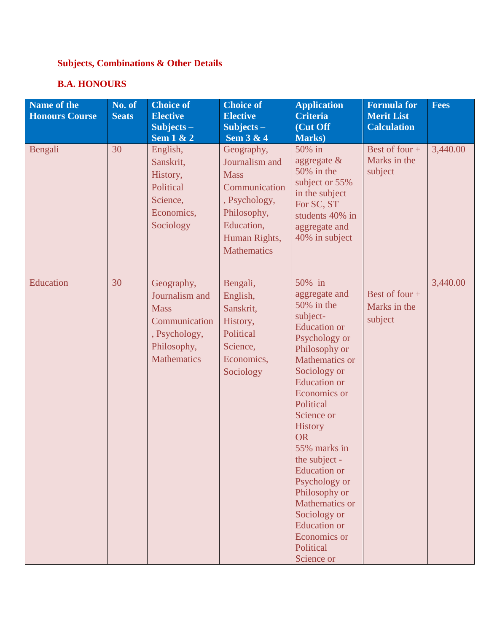# **Subjects, Combinations & Other Details**

### **B.A. HONOURS**

| Name of the<br><b>Honours Course</b> | No. of<br><b>Seats</b> | <b>Choice of</b><br><b>Elective</b><br>$Subjects -$<br><b>Sem 1 &amp; 2</b>                                        | <b>Choice of</b><br><b>Elective</b><br>Subjects $-$<br>Sem 3 & 4                                                                                  | <b>Application</b><br><b>Criteria</b><br>(Cut Off<br><b>Marks</b> )                                                                                                                                                                                                                                                                                                                                                                         | <b>Formula for</b><br><b>Merit List</b><br><b>Calculation</b> | <b>Fees</b> |
|--------------------------------------|------------------------|--------------------------------------------------------------------------------------------------------------------|---------------------------------------------------------------------------------------------------------------------------------------------------|---------------------------------------------------------------------------------------------------------------------------------------------------------------------------------------------------------------------------------------------------------------------------------------------------------------------------------------------------------------------------------------------------------------------------------------------|---------------------------------------------------------------|-------------|
| Bengali                              | 30                     | English,<br>Sanskrit,<br>History,<br>Political<br>Science,<br>Economics,<br>Sociology                              | Geography,<br>Journalism and<br><b>Mass</b><br>Communication<br>, Psychology,<br>Philosophy,<br>Education,<br>Human Rights,<br><b>Mathematics</b> | 50% in<br>aggregate &<br>50% in the<br>subject or 55%<br>in the subject<br>For SC, ST<br>students 40% in<br>aggregate and<br>40% in subject                                                                                                                                                                                                                                                                                                 | Best of four +<br>Marks in the<br>subject                     | 3,440.00    |
| Education                            | 30                     | Geography,<br>Journalism and<br><b>Mass</b><br>Communication<br>, Psychology,<br>Philosophy,<br><b>Mathematics</b> | Bengali,<br>English,<br>Sanskrit,<br>History,<br>Political<br>Science,<br>Economics,<br>Sociology                                                 | 50% in<br>aggregate and<br>50% in the<br>subject-<br><b>Education</b> or<br>Psychology or<br>Philosophy or<br>Mathematics or<br>Sociology or<br><b>Education</b> or<br>Economics or<br>Political<br>Science or<br><b>History</b><br><b>OR</b><br>55% marks in<br>the subject -<br><b>Education</b> or<br>Psychology or<br>Philosophy or<br>Mathematics or<br>Sociology or<br><b>Education</b> or<br>Economics or<br>Political<br>Science or | Best of four $+$<br>Marks in the<br>subject                   | 3,440.00    |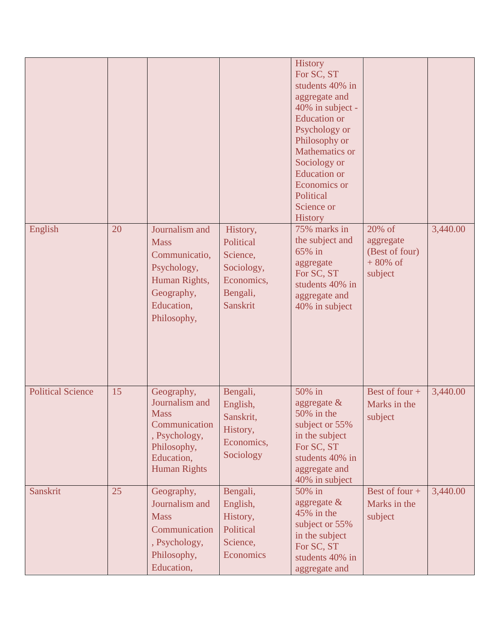| English                  | 20 | Journalism and<br><b>Mass</b><br>Communicatio,<br>Psychology,<br>Human Rights,                                                    | History,<br>Political<br>Science,<br>Sociology,<br>Economics,            | <b>History</b><br>For SC, ST<br>students 40% in<br>aggregate and<br>40% in subject -<br><b>Education</b> or<br>Psychology or<br>Philosophy or<br>Mathematics or<br>Sociology or<br><b>Education</b> or<br>Economics or<br>Political<br>Science or<br><b>History</b><br>75% marks in<br>the subject and<br>65% in<br>aggregate<br>For SC, ST<br>students 40% in | 20% of<br>aggregate<br>(Best of four)<br>$+80\%$ of<br>subject | 3,440.00 |
|--------------------------|----|-----------------------------------------------------------------------------------------------------------------------------------|--------------------------------------------------------------------------|----------------------------------------------------------------------------------------------------------------------------------------------------------------------------------------------------------------------------------------------------------------------------------------------------------------------------------------------------------------|----------------------------------------------------------------|----------|
|                          |    | Geography,<br>Education,<br>Philosophy,                                                                                           | Bengali,<br><b>Sanskrit</b>                                              | aggregate and<br>40% in subject                                                                                                                                                                                                                                                                                                                                |                                                                |          |
| <b>Political Science</b> | 15 | Geography,<br>Journalism and<br><b>Mass</b><br>Communication<br>, Psychology,<br>Philosophy,<br>Education,<br><b>Human Rights</b> | Bengali,<br>English,<br>Sanskrit,<br>History,<br>Economics,<br>Sociology | 50% in<br>aggregate $\&$<br>50% in the<br>subject or 55%<br>in the subject<br>For SC, ST<br>students 40% in<br>aggregate and<br>40% in subject                                                                                                                                                                                                                 | Best of four +<br>Marks in the<br>subject                      | 3,440.00 |
| Sanskrit                 | 25 | Geography,<br>Journalism and<br><b>Mass</b><br>Communication<br>, Psychology,<br>Philosophy,<br>Education,                        | Bengali,<br>English,<br>History,<br>Political<br>Science,<br>Economics   | 50% in<br>aggregate $\&$<br>45% in the<br>subject or 55%<br>in the subject<br>For SC, ST<br>students 40% in<br>aggregate and                                                                                                                                                                                                                                   | Best of four +<br>Marks in the<br>subject                      | 3,440.00 |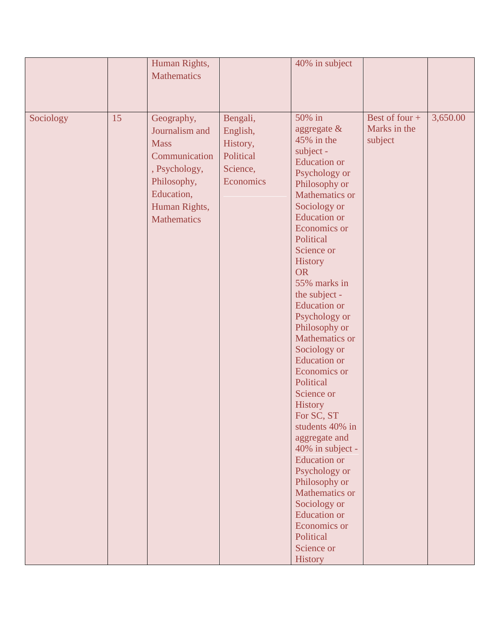|           |    | Human Rights,<br><b>Mathematics</b>                                                                                                               |                                                                        | 40% in subject                                                                                                                                                                                                                                                                                                                                                                                                                                                                                                                                                                                                                                                                                                   |                                           |          |
|-----------|----|---------------------------------------------------------------------------------------------------------------------------------------------------|------------------------------------------------------------------------|------------------------------------------------------------------------------------------------------------------------------------------------------------------------------------------------------------------------------------------------------------------------------------------------------------------------------------------------------------------------------------------------------------------------------------------------------------------------------------------------------------------------------------------------------------------------------------------------------------------------------------------------------------------------------------------------------------------|-------------------------------------------|----------|
| Sociology | 15 | Geography,<br>Journalism and<br><b>Mass</b><br>Communication<br>, Psychology,<br>Philosophy,<br>Education,<br>Human Rights,<br><b>Mathematics</b> | Bengali,<br>English,<br>History,<br>Political<br>Science,<br>Economics | 50% in<br>aggregate $\&$<br>$45\%$ in the<br>subject -<br><b>Education</b> or<br>Psychology or<br>Philosophy or<br>Mathematics or<br>Sociology or<br><b>Education</b> or<br>Economics or<br>Political<br>Science or<br>History<br><b>OR</b><br>55% marks in<br>the subject -<br><b>Education</b> or<br>Psychology or<br>Philosophy or<br>Mathematics or<br>Sociology or<br><b>Education</b> or<br>Economics or<br>Political<br>Science or<br><b>History</b><br>For SC, ST<br>students 40% in<br>aggregate and<br>40% in subject -<br><b>Education</b> or<br>Psychology or<br>Philosophy or<br><b>Mathematics or</b><br>Sociology or<br><b>Education</b> or<br>Economics or<br>Political<br>Science or<br>History | Best of four +<br>Marks in the<br>subject | 3,650.00 |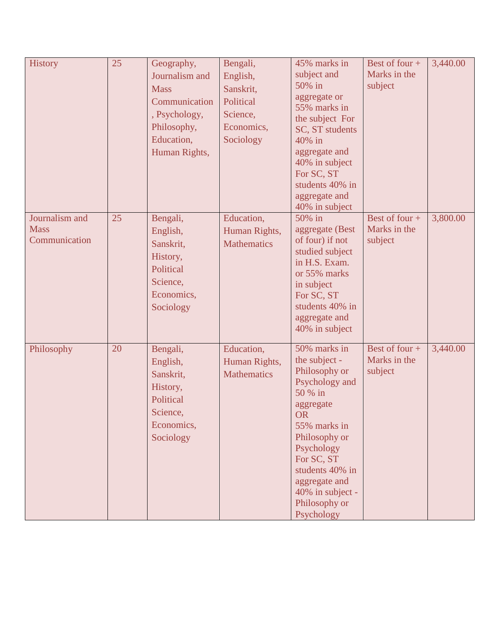| <b>History</b>                                 | 25 | Geography,<br>Journalism and<br><b>Mass</b><br>Communication<br>, Psychology,<br>Philosophy,<br>Education,<br>Human Rights, | Bengali,<br>English,<br>Sanskrit,<br>Political<br>Science,<br>Economics,<br>Sociology | 45% marks in<br>subject and<br>50% in<br>aggregate or<br>55% marks in<br>the subject For<br>SC, ST students<br>40% in<br>aggregate and<br>40% in subject<br>For SC, ST<br>students 40% in<br>aggregate and<br>40% in subject                              | Best of four +<br>Marks in the<br>subject   | 3,440.00 |
|------------------------------------------------|----|-----------------------------------------------------------------------------------------------------------------------------|---------------------------------------------------------------------------------------|-----------------------------------------------------------------------------------------------------------------------------------------------------------------------------------------------------------------------------------------------------------|---------------------------------------------|----------|
| Journalism and<br><b>Mass</b><br>Communication | 25 | Bengali,<br>English,<br>Sanskrit,<br>History,<br>Political<br>Science,<br>Economics,<br>Sociology                           | Education,<br>Human Rights,<br><b>Mathematics</b>                                     | 50% in<br>aggregate (Best<br>of four) if not<br>studied subject<br>in H.S. Exam.<br>or 55% marks<br>in subject<br>For SC, ST<br>students 40% in<br>aggregate and<br>40% in subject                                                                        | Best of four +<br>Marks in the<br>subject   | 3,800.00 |
| Philosophy                                     | 20 | Bengali,<br>English,<br>Sanskrit,<br>History,<br>Political<br>Science,<br>Economics,<br>Sociology                           | Education,<br>Human Rights,<br><b>Mathematics</b>                                     | 50% marks in<br>the subject -<br>Philosophy or<br>Psychology and<br>50 % in<br>aggregate<br><b>OR</b><br>55% marks in<br>Philosophy or<br>Psychology<br>For SC, ST<br>students 40% in<br>aggregate and<br>40% in subject -<br>Philosophy or<br>Psychology | Best of four $+$<br>Marks in the<br>subject | 3,440.00 |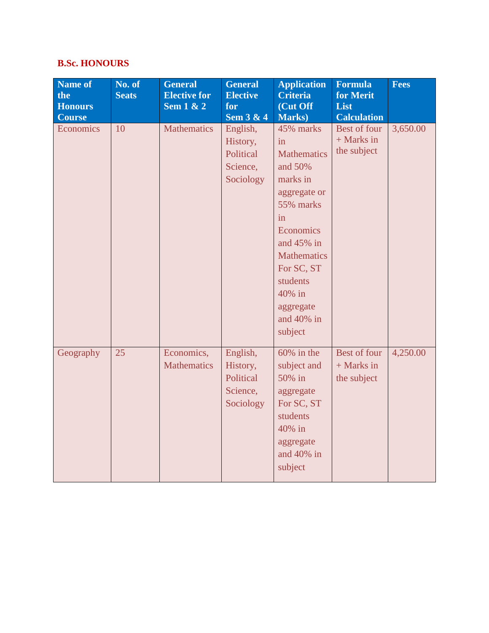### **B.Sc. HONOURS**

| Name of<br>the<br><b>Honours</b><br><b>Course</b> | No. of<br><b>Seats</b> | <b>General</b><br><b>Elective for</b><br>Sem $1 & 2$ | <b>General</b><br><b>Elective</b><br>for<br><b>Sem 3 &amp; 4</b> | <b>Application</b><br><b>Criteria</b><br>(Cut Off<br><b>Marks</b> )                                                                                                                                                           | <b>Formula</b><br>for Merit<br>List<br><b>Calculation</b> | <b>Fees</b> |
|---------------------------------------------------|------------------------|------------------------------------------------------|------------------------------------------------------------------|-------------------------------------------------------------------------------------------------------------------------------------------------------------------------------------------------------------------------------|-----------------------------------------------------------|-------------|
| Economics                                         | 10                     | <b>Mathematics</b>                                   | English,<br>History,<br>Political<br>Science,<br>Sociology       | 45% marks<br>in<br><b>Mathematics</b><br>and 50%<br>marks in<br>aggregate or<br>55% marks<br>in<br>Economics<br>and $45\%$ in<br><b>Mathematics</b><br>For SC, ST<br>students<br>40% in<br>aggregate<br>and 40% in<br>subject | Best of four<br>$+$ Marks in<br>the subject               | 3,650.00    |
| Geography                                         | 25                     | Economics,<br><b>Mathematics</b>                     | English,<br>History,<br>Political<br>Science,<br>Sociology       | $60\%$ in the<br>subject and<br>50% in<br>aggregate<br>For SC, ST<br>students<br>40% in<br>aggregate<br>and 40% in<br>subject                                                                                                 | Best of four<br>$+$ Marks in<br>the subject               | 4,250.00    |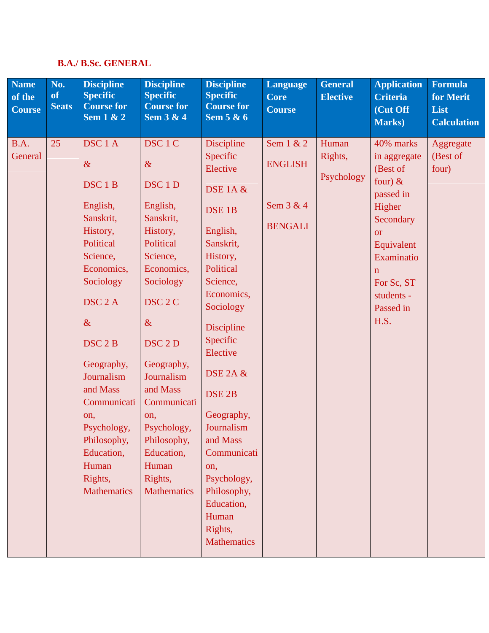### **B.A./ B.Sc. GENERAL**

| <b>Name</b><br>of the<br><b>Course</b> | No.<br><b>of</b><br><b>Seats</b> | <b>Discipline</b><br><b>Specific</b><br><b>Course for</b><br>Sem $1 & 2$                                                                                                                                                                                                                                                                          | <b>Discipline</b><br><b>Specific</b><br><b>Course for</b><br>Sem 3 & 4                                                                                                                                                                                                                                                                            | <b>Discipline</b><br><b>Specific</b><br><b>Course for</b><br>Sem 5 & 6                                                                                                                                                                                                                                                                                                                             | <b>Language</b><br><b>Core</b><br><b>Course</b>                | <b>General</b><br><b>Elective</b> | <b>Application</b><br><b>Criteria</b><br>(Cut Off<br>Marks)                                                                                                                                       | <b>Formula</b><br>for Merit<br>List<br><b>Calculation</b> |
|----------------------------------------|----------------------------------|---------------------------------------------------------------------------------------------------------------------------------------------------------------------------------------------------------------------------------------------------------------------------------------------------------------------------------------------------|---------------------------------------------------------------------------------------------------------------------------------------------------------------------------------------------------------------------------------------------------------------------------------------------------------------------------------------------------|----------------------------------------------------------------------------------------------------------------------------------------------------------------------------------------------------------------------------------------------------------------------------------------------------------------------------------------------------------------------------------------------------|----------------------------------------------------------------|-----------------------------------|---------------------------------------------------------------------------------------------------------------------------------------------------------------------------------------------------|-----------------------------------------------------------|
| B.A.<br>General                        | 25                               | DSC <sub>1</sub> A<br>$\&$<br>DSC <sub>1</sub> B<br>English,<br>Sanskrit,<br>History,<br>Political<br>Science,<br>Economics,<br>Sociology<br>DSC <sub>2</sub> A<br>$\&$<br>DSC <sub>2</sub> B<br>Geography,<br>Journalism<br>and Mass<br>Communicati<br>on,<br>Psychology,<br>Philosophy,<br>Education,<br>Human<br>Rights,<br><b>Mathematics</b> | DSC <sub>1</sub> C<br>$\&$<br>DSC <sub>1</sub> D<br>English,<br>Sanskrit,<br>History,<br>Political<br>Science,<br>Economics,<br>Sociology<br>DSC <sub>2</sub> C<br>$\&$<br>DSC <sub>2</sub> D<br>Geography,<br>Journalism<br>and Mass<br>Communicati<br>on,<br>Psychology,<br>Philosophy,<br>Education,<br>Human<br>Rights,<br><b>Mathematics</b> | Discipline<br>Specific<br>Elective<br><b>DSE 1A &amp;</b><br>DSE <sub>1B</sub><br>English,<br>Sanskrit,<br>History,<br>Political<br>Science,<br>Economics,<br>Sociology<br>Discipline<br>Specific<br>Elective<br>DSE 2A &<br>DSE <sub>2B</sub><br>Geography,<br>Journalism<br>and Mass<br>Communicati<br>on,<br>Psychology,<br>Philosophy,<br>Education,<br>Human<br>Rights,<br><b>Mathematics</b> | Sem $1 & 2$<br><b>ENGLISH</b><br>Sem $3 & 4$<br><b>BENGALI</b> | Human<br>Rights,<br>Psychology    | 40% marks<br>in aggregate<br>(Best of<br>four) $\&$<br>passed in<br>Higher<br>Secondary<br><b>or</b><br>Equivalent<br>Examinatio<br>$\mathbf{n}$<br>For Sc, ST<br>students -<br>Passed in<br>H.S. | Aggregate<br>(Best of<br>four)                            |